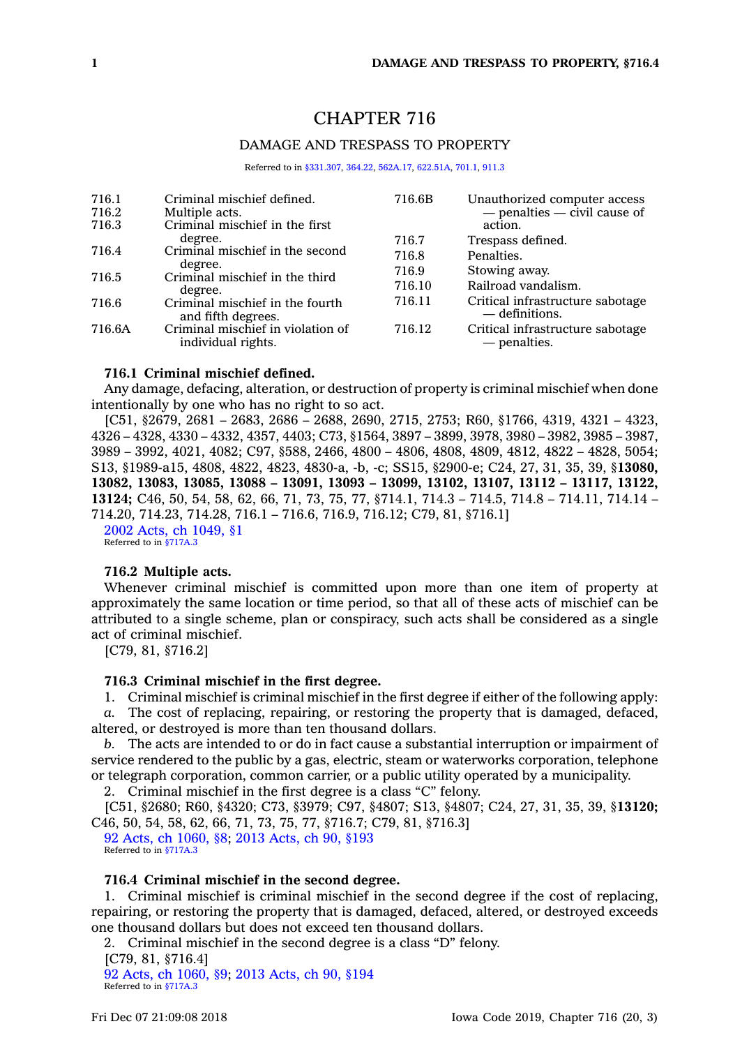# CHAPTER 716

# DAMAGE AND TRESPASS TO PROPERTY

Referred to in [§331.307](https://www.legis.iowa.gov/docs/code/331.307.pdf), [364.22](https://www.legis.iowa.gov/docs/code/364.22.pdf), [562A.17](https://www.legis.iowa.gov/docs/code/562A.17.pdf), [622.51A](https://www.legis.iowa.gov/docs/code/622.51A.pdf), [701.1](https://www.legis.iowa.gov/docs/code/701.1.pdf), [911.3](https://www.legis.iowa.gov/docs/code/911.3.pdf)

| 716.1<br>716.2<br>716.3 | Criminal mischief defined.<br>Multiple acts.<br>Criminal mischief in the first | 716.6B | Unauthorized computer access<br>$-$ penalties $-$ civil cause of<br>action. |
|-------------------------|--------------------------------------------------------------------------------|--------|-----------------------------------------------------------------------------|
|                         | degree.                                                                        | 716.7  | Trespass defined.                                                           |
| 716.4                   | Criminal mischief in the second                                                | 716.8  | Penalties.                                                                  |
| 716.5                   | degree.<br>Criminal mischief in the third<br>degree.                           | 716.9  | Stowing away.                                                               |
|                         |                                                                                | 716.10 | Railroad vandalism.                                                         |
| 716.6                   | Criminal mischief in the fourth<br>and fifth degrees.                          | 716.11 | Critical infrastructure sabotage<br>— definitions.                          |
| 716.6A                  | Criminal mischief in violation of<br>individual rights.                        | 716.12 | Critical infrastructure sabotage<br>— penalties.                            |

#### **716.1 Criminal mischief defined.**

Any damage, defacing, alteration, or destruction of property is criminal mischief when done intentionally by one who has no right to so act.

[C51, §2679, 2681 – 2683, 2686 – 2688, 2690, 2715, 2753; R60, §1766, 4319, 4321 – 4323, 4326 – 4328, 4330 – 4332, 4357, 4403; C73, §1564, 3897 – 3899, 3978, 3980 – 3982, 3985 – 3987, 3989 – 3992, 4021, 4082; C97, §588, 2466, 4800 – 4806, 4808, 4809, 4812, 4822 – 4828, 5054; S13, §1989-a15, 4808, 4822, 4823, 4830-a, -b, -c; SS15, §2900-e; C24, 27, 31, 35, 39, §**13080, 13082, 13083, 13085, 13088 – 13091, 13093 – 13099, 13102, 13107, 13112 – 13117, 13122, 13124;** C46, 50, 54, 58, 62, 66, 71, 73, 75, 77, §714.1, 714.3 – 714.5, 714.8 – 714.11, 714.14 – 714.20, 714.23, 714.28, 716.1 – 716.6, 716.9, 716.12; C79, 81, §716.1] 2002 Acts, ch [1049,](https://www.legis.iowa.gov/docs/acts/2002/CH1049.pdf) §1

Referred to in [§717A.3](https://www.legis.iowa.gov/docs/code/717A.3.pdf)

## **716.2 Multiple acts.**

Whenever criminal mischief is committed upon more than one item of property at approximately the same location or time period, so that all of these acts of mischief can be attributed to <sup>a</sup> single scheme, plan or conspiracy, such acts shall be considered as <sup>a</sup> single act of criminal mischief.

[C79, 81, §716.2]

# **716.3 Criminal mischief in the first degree.**

1. Criminal mischief is criminal mischief in the first degree if either of the following apply:

*a.* The cost of replacing, repairing, or restoring the property that is damaged, defaced, altered, or destroyed is more than ten thousand dollars.

*b.* The acts are intended to or do in fact cause <sup>a</sup> substantial interruption or impairment of service rendered to the public by <sup>a</sup> gas, electric, steam or waterworks corporation, telephone or telegraph corporation, common carrier, or <sup>a</sup> public utility operated by <sup>a</sup> municipality.

2. Criminal mischief in the first degree is <sup>a</sup> class "C" felony.

[C51, §2680; R60, §4320; C73, §3979; C97, §4807; S13, §4807; C24, 27, 31, 35, 39, §**13120;** C46, 50, 54, 58, 62, 66, 71, 73, 75, 77, §716.7; C79, 81, §716.3]

92 Acts, ch [1060,](https://www.legis.iowa.gov/docs/acts/92/CH1060.pdf) §8; 2013 [Acts,](https://www.legis.iowa.gov/docs/acts/2013/CH0090.pdf) ch 90, §193 Referred to in [§717A.3](https://www.legis.iowa.gov/docs/code/717A.3.pdf)

#### **716.4 Criminal mischief in the second degree.**

1. Criminal mischief is criminal mischief in the second degree if the cost of replacing, repairing, or restoring the property that is damaged, defaced, altered, or destroyed exceeds one thousand dollars but does not exceed ten thousand dollars.

2. Criminal mischief in the second degree is <sup>a</sup> class "D" felony. [C79, 81, §716.4] 92 Acts, ch [1060,](https://www.legis.iowa.gov/docs/acts/92/CH1060.pdf) §9; 2013 [Acts,](https://www.legis.iowa.gov/docs/acts/2013/CH0090.pdf) ch 90, §194 Referred to in [§717A.3](https://www.legis.iowa.gov/docs/code/717A.3.pdf)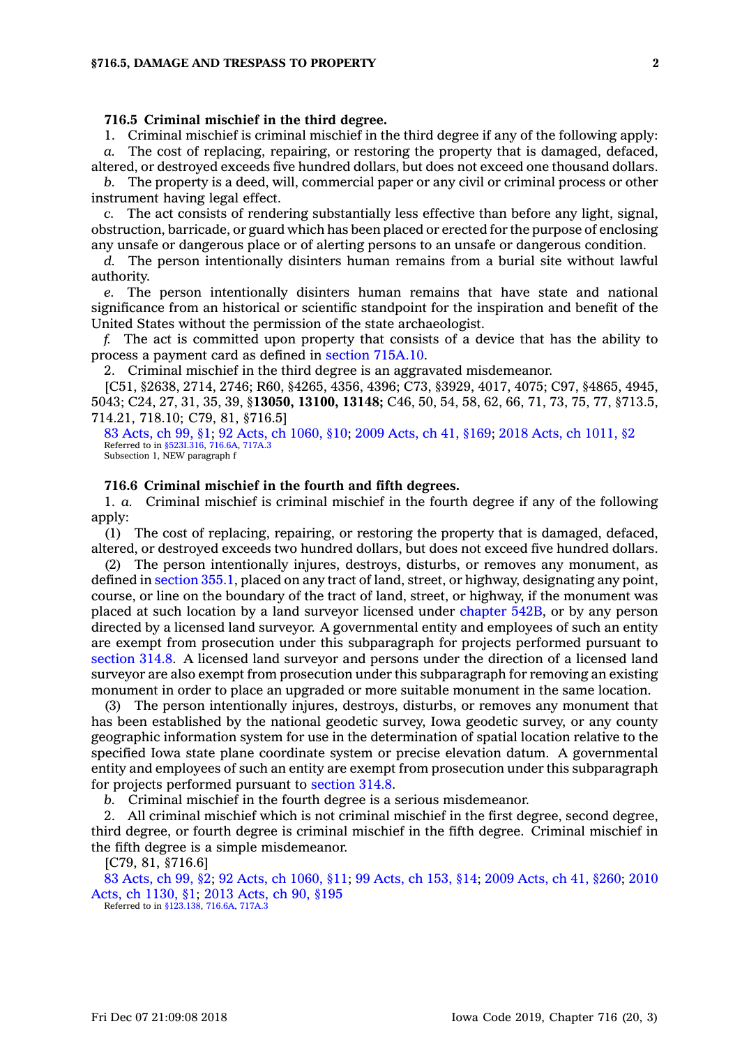# **716.5 Criminal mischief in the third degree.**

1. Criminal mischief is criminal mischief in the third degree if any of the following apply: *a.* The cost of replacing, repairing, or restoring the property that is damaged, defaced,

altered, or destroyed exceeds five hundred dollars, but does not exceed one thousand dollars. *b.* The property is <sup>a</sup> deed, will, commercial paper or any civil or criminal process or other instrument having legal effect.

*c.* The act consists of rendering substantially less effective than before any light, signal, obstruction, barricade, or guard which has been placed or erected for the purpose of enclosing any unsafe or dangerous place or of alerting persons to an unsafe or dangerous condition.

*d.* The person intentionally disinters human remains from <sup>a</sup> burial site without lawful authority.

*e.* The person intentionally disinters human remains that have state and national significance from an historical or scientific standpoint for the inspiration and benefit of the United States without the permission of the state archaeologist.

*f.* The act is committed upon property that consists of <sup>a</sup> device that has the ability to process <sup>a</sup> payment card as defined in section [715A.10](https://www.legis.iowa.gov/docs/code/715A.10.pdf).

2. Criminal mischief in the third degree is an aggravated misdemeanor.

[C51, §2638, 2714, 2746; R60, §4265, 4356, 4396; C73, §3929, 4017, 4075; C97, §4865, 4945, 5043; C24, 27, 31, 35, 39, §**13050, 13100, 13148;** C46, 50, 54, 58, 62, 66, 71, 73, 75, 77, §713.5, 714.21, 718.10; C79, 81, §716.5]

83 [Acts,](https://www.legis.iowa.gov/docs/acts/83/CH0099.pdf) ch 99, §1; 92 Acts, ch [1060,](https://www.legis.iowa.gov/docs/acts/92/CH1060.pdf) §10; 2009 [Acts,](https://www.legis.iowa.gov/docs/acts/2009/CH0041.pdf) ch 41, §169; 2018 Acts, ch [1011,](https://www.legis.iowa.gov/docs/acts/2018/CH1011.pdf) §2 Referred to in [§523I.316](https://www.legis.iowa.gov/docs/code/523I.316.pdf), [716.6A](https://www.legis.iowa.gov/docs/code/716.6A.pdf), [717A.3](https://www.legis.iowa.gov/docs/code/717A.3.pdf) Subsection 1, NEW paragraph f

# **716.6 Criminal mischief in the fourth and fifth degrees.**

1. *a.* Criminal mischief is criminal mischief in the fourth degree if any of the following apply:

(1) The cost of replacing, repairing, or restoring the property that is damaged, defaced, altered, or destroyed exceeds two hundred dollars, but does not exceed five hundred dollars.

(2) The person intentionally injures, destroys, disturbs, or removes any monument, as defined in [section](https://www.legis.iowa.gov/docs/code/355.1.pdf) 355.1, placed on any tract of land, street, or highway, designating any point, course, or line on the boundary of the tract of land, street, or highway, if the monument was placed at such location by <sup>a</sup> land surveyor licensed under [chapter](https://www.legis.iowa.gov/docs/code//542B.pdf) 542B, or by any person directed by <sup>a</sup> licensed land surveyor. A governmental entity and employees of such an entity are exempt from prosecution under this subparagraph for projects performed pursuant to [section](https://www.legis.iowa.gov/docs/code/314.8.pdf) 314.8. A licensed land surveyor and persons under the direction of <sup>a</sup> licensed land surveyor are also exempt from prosecution under this subparagraph for removing an existing monument in order to place an upgraded or more suitable monument in the same location.

(3) The person intentionally injures, destroys, disturbs, or removes any monument that has been established by the national geodetic survey, Iowa geodetic survey, or any county geographic information system for use in the determination of spatial location relative to the specified Iowa state plane coordinate system or precise elevation datum. A governmental entity and employees of such an entity are exempt from prosecution under this subparagraph for projects performed pursuant to [section](https://www.legis.iowa.gov/docs/code/314.8.pdf) 314.8.

*b.* Criminal mischief in the fourth degree is <sup>a</sup> serious misdemeanor.

2. All criminal mischief which is not criminal mischief in the first degree, second degree, third degree, or fourth degree is criminal mischief in the fifth degree. Criminal mischief in the fifth degree is <sup>a</sup> simple misdemeanor.

[C79, 81, §716.6]

83 [Acts,](https://www.legis.iowa.gov/docs/acts/83/CH0099.pdf) ch 99, §2; 92 Acts, ch [1060,](https://www.legis.iowa.gov/docs/acts/92/CH1060.pdf) §11; 99 [Acts,](https://www.legis.iowa.gov/docs/acts/99/CH0153.pdf) ch 153, §14; 2009 [Acts,](https://www.legis.iowa.gov/docs/acts/2009/CH0041.pdf) ch 41, §260; [2010](https://www.legis.iowa.gov/docs/acts/2010/CH1130.pdf) Acts, ch [1130,](https://www.legis.iowa.gov/docs/acts/2010/CH1130.pdf) §1; 2013 [Acts,](https://www.legis.iowa.gov/docs/acts/2013/CH0090.pdf) ch 90, §195 Referred to in [§123.138](https://www.legis.iowa.gov/docs/code/123.138.pdf), [716.6A,](https://www.legis.iowa.gov/docs/code/716.6A.pdf) [717A.3](https://www.legis.iowa.gov/docs/code/717A.3.pdf)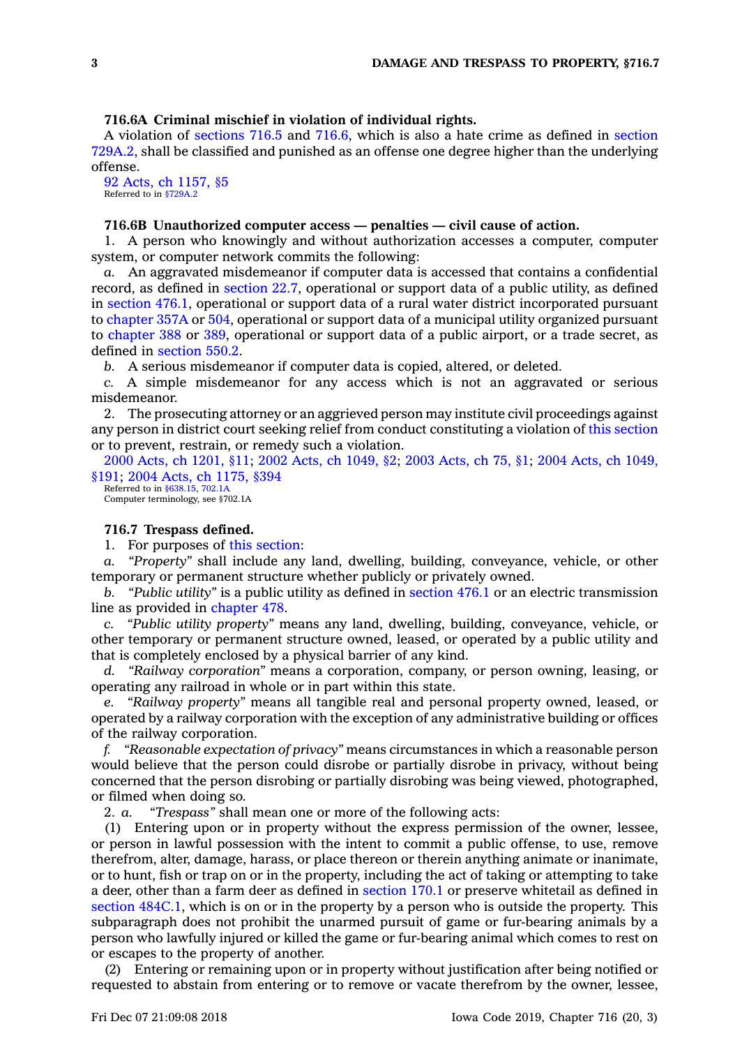# **716.6A Criminal mischief in violation of individual rights.**

A violation of [sections](https://www.legis.iowa.gov/docs/code/716.5.pdf) 716.5 and [716.6](https://www.legis.iowa.gov/docs/code/716.6.pdf), which is also <sup>a</sup> hate crime as defined in [section](https://www.legis.iowa.gov/docs/code/729A.2.pdf) [729A.2](https://www.legis.iowa.gov/docs/code/729A.2.pdf), shall be classified and punished as an offense one degree higher than the underlying offense.

92 Acts, ch [1157,](https://www.legis.iowa.gov/docs/acts/1992/CH1157.pdf) §5 Referred to in [§729A.2](https://www.legis.iowa.gov/docs/code/729A.2.pdf)

### **716.6B Unauthorized computer access — penalties — civil cause of action.**

1. A person who knowingly and without authorization accesses <sup>a</sup> computer, computer system, or computer network commits the following:

*a.* An aggravated misdemeanor if computer data is accessed that contains <sup>a</sup> confidential record, as defined in [section](https://www.legis.iowa.gov/docs/code/22.7.pdf) 22.7, operational or support data of <sup>a</sup> public utility, as defined in [section](https://www.legis.iowa.gov/docs/code/476.1.pdf) 476.1, operational or support data of <sup>a</sup> rural water district incorporated pursuant to [chapter](https://www.legis.iowa.gov/docs/code//357A.pdf) 357A or [504](https://www.legis.iowa.gov/docs/code//504.pdf), operational or support data of <sup>a</sup> municipal utility organized pursuant to [chapter](https://www.legis.iowa.gov/docs/code//388.pdf) 388 or [389](https://www.legis.iowa.gov/docs/code//389.pdf), operational or support data of <sup>a</sup> public airport, or <sup>a</sup> trade secret, as defined in [section](https://www.legis.iowa.gov/docs/code/550.2.pdf) 550.2.

*b.* A serious misdemeanor if computer data is copied, altered, or deleted.

*c.* A simple misdemeanor for any access which is not an aggravated or serious misdemeanor.

2. The prosecuting attorney or an aggrieved person may institute civil proceedings against any person in district court seeking relief from conduct constituting <sup>a</sup> violation of this [section](https://www.legis.iowa.gov/docs/code/716.6B.pdf) or to prevent, restrain, or remedy such <sup>a</sup> violation.

2000 Acts, ch [1201,](https://www.legis.iowa.gov/docs/acts/2000/CH1201.pdf) §11; 2002 Acts, ch [1049,](https://www.legis.iowa.gov/docs/acts/2002/CH1049.pdf) §2; 2003 [Acts,](https://www.legis.iowa.gov/docs/acts/2003/CH0075.pdf) ch 75, §1; 2004 Acts, ch [1049,](https://www.legis.iowa.gov/docs/acts/2004/CH1049.pdf) [§191](https://www.legis.iowa.gov/docs/acts/2004/CH1049.pdf); 2004 Acts, ch [1175,](https://www.legis.iowa.gov/docs/acts/2004/CH1175.pdf) §394

Referred to in [§638.15](https://www.legis.iowa.gov/docs/code/638.15.pdf), [702.1A](https://www.legis.iowa.gov/docs/code/702.1A.pdf) Computer terminology, see §702.1A

### **716.7 Trespass defined.**

1. For purposes of this [section](https://www.legis.iowa.gov/docs/code/716.7.pdf):

*a. "Property"* shall include any land, dwelling, building, conveyance, vehicle, or other temporary or permanent structure whether publicly or privately owned.

*b. "Public utility"* is <sup>a</sup> public utility as defined in [section](https://www.legis.iowa.gov/docs/code/476.1.pdf) 476.1 or an electric transmission line as provided in [chapter](https://www.legis.iowa.gov/docs/code//478.pdf) 478.

*c. "Public utility property"* means any land, dwelling, building, conveyance, vehicle, or other temporary or permanent structure owned, leased, or operated by <sup>a</sup> public utility and that is completely enclosed by <sup>a</sup> physical barrier of any kind.

*d. "Railway corporation"* means <sup>a</sup> corporation, company, or person owning, leasing, or operating any railroad in whole or in part within this state.

*e. "Railway property"* means all tangible real and personal property owned, leased, or operated by <sup>a</sup> railway corporation with the exception of any administrative building or offices of the railway corporation.

*f. "Reasonable expectation of privacy"* means circumstances in which <sup>a</sup> reasonable person would believe that the person could disrobe or partially disrobe in privacy, without being concerned that the person disrobing or partially disrobing was being viewed, photographed, or filmed when doing so.

2. *a. "Trespass"* shall mean one or more of the following acts:

(1) Entering upon or in property without the express permission of the owner, lessee, or person in lawful possession with the intent to commit <sup>a</sup> public offense, to use, remove therefrom, alter, damage, harass, or place thereon or therein anything animate or inanimate, or to hunt, fish or trap on or in the property, including the act of taking or attempting to take <sup>a</sup> deer, other than <sup>a</sup> farm deer as defined in [section](https://www.legis.iowa.gov/docs/code/170.1.pdf) 170.1 or preserve whitetail as defined in section [484C.1](https://www.legis.iowa.gov/docs/code/484C.1.pdf), which is on or in the property by <sup>a</sup> person who is outside the property. This subparagraph does not prohibit the unarmed pursuit of game or fur-bearing animals by <sup>a</sup> person who lawfully injured or killed the game or fur-bearing animal which comes to rest on or escapes to the property of another.

(2) Entering or remaining upon or in property without justification after being notified or requested to abstain from entering or to remove or vacate therefrom by the owner, lessee,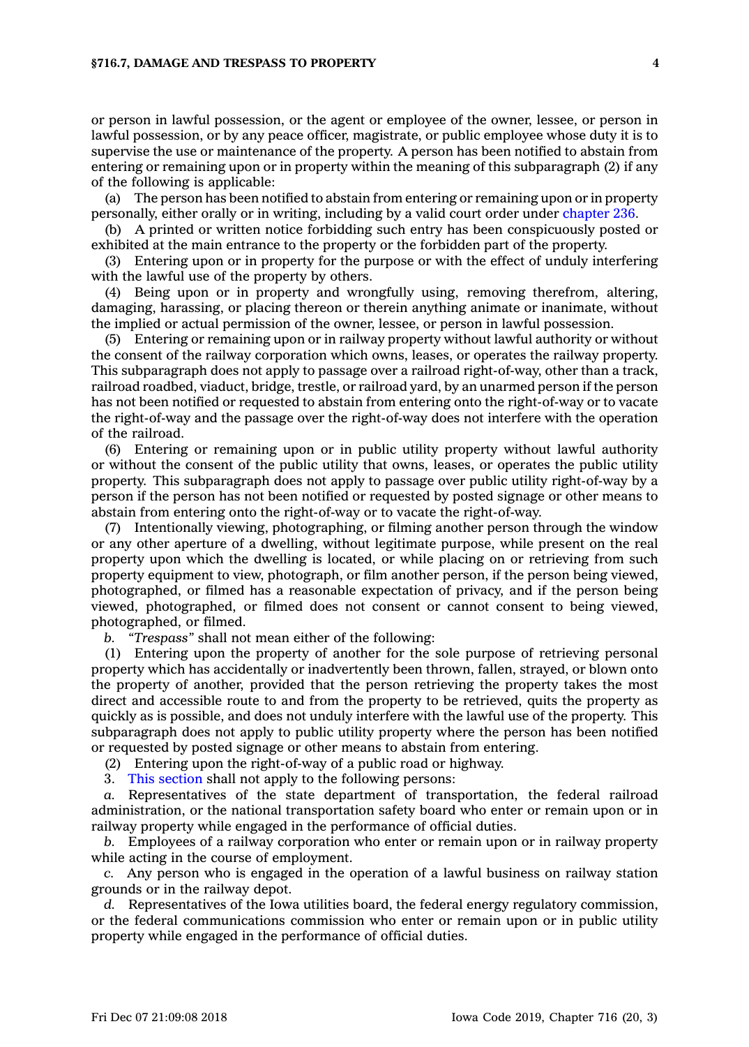or person in lawful possession, or the agent or employee of the owner, lessee, or person in lawful possession, or by any peace officer, magistrate, or public employee whose duty it is to supervise the use or maintenance of the property. A person has been notified to abstain from entering or remaining upon or in property within the meaning of this subparagraph (2) if any of the following is applicable:

(a) The person has been notified to abstain from entering or remaining upon or in property personally, either orally or in writing, including by <sup>a</sup> valid court order under [chapter](https://www.legis.iowa.gov/docs/code//236.pdf) 236.

(b) A printed or written notice forbidding such entry has been conspicuously posted or exhibited at the main entrance to the property or the forbidden part of the property.

(3) Entering upon or in property for the purpose or with the effect of unduly interfering with the lawful use of the property by others.

(4) Being upon or in property and wrongfully using, removing therefrom, altering, damaging, harassing, or placing thereon or therein anything animate or inanimate, without the implied or actual permission of the owner, lessee, or person in lawful possession.

(5) Entering or remaining upon or in railway property without lawful authority or without the consent of the railway corporation which owns, leases, or operates the railway property. This subparagraph does not apply to passage over <sup>a</sup> railroad right-of-way, other than <sup>a</sup> track, railroad roadbed, viaduct, bridge, trestle, or railroad yard, by an unarmed person if the person has not been notified or requested to abstain from entering onto the right-of-way or to vacate the right-of-way and the passage over the right-of-way does not interfere with the operation of the railroad.

(6) Entering or remaining upon or in public utility property without lawful authority or without the consent of the public utility that owns, leases, or operates the public utility property. This subparagraph does not apply to passage over public utility right-of-way by <sup>a</sup> person if the person has not been notified or requested by posted signage or other means to abstain from entering onto the right-of-way or to vacate the right-of-way.

(7) Intentionally viewing, photographing, or filming another person through the window or any other aperture of <sup>a</sup> dwelling, without legitimate purpose, while present on the real property upon which the dwelling is located, or while placing on or retrieving from such property equipment to view, photograph, or film another person, if the person being viewed, photographed, or filmed has <sup>a</sup> reasonable expectation of privacy, and if the person being viewed, photographed, or filmed does not consent or cannot consent to being viewed, photographed, or filmed.

*b. "Trespass"* shall not mean either of the following:

(1) Entering upon the property of another for the sole purpose of retrieving personal property which has accidentally or inadvertently been thrown, fallen, strayed, or blown onto the property of another, provided that the person retrieving the property takes the most direct and accessible route to and from the property to be retrieved, quits the property as quickly as is possible, and does not unduly interfere with the lawful use of the property. This subparagraph does not apply to public utility property where the person has been notified or requested by posted signage or other means to abstain from entering.

(2) Entering upon the right-of-way of <sup>a</sup> public road or highway.

3. This [section](https://www.legis.iowa.gov/docs/code/716.7.pdf) shall not apply to the following persons:

*a.* Representatives of the state department of transportation, the federal railroad administration, or the national transportation safety board who enter or remain upon or in railway property while engaged in the performance of official duties.

*b.* Employees of <sup>a</sup> railway corporation who enter or remain upon or in railway property while acting in the course of employment.

*c.* Any person who is engaged in the operation of <sup>a</sup> lawful business on railway station grounds or in the railway depot.

*d.* Representatives of the Iowa utilities board, the federal energy regulatory commission, or the federal communications commission who enter or remain upon or in public utility property while engaged in the performance of official duties.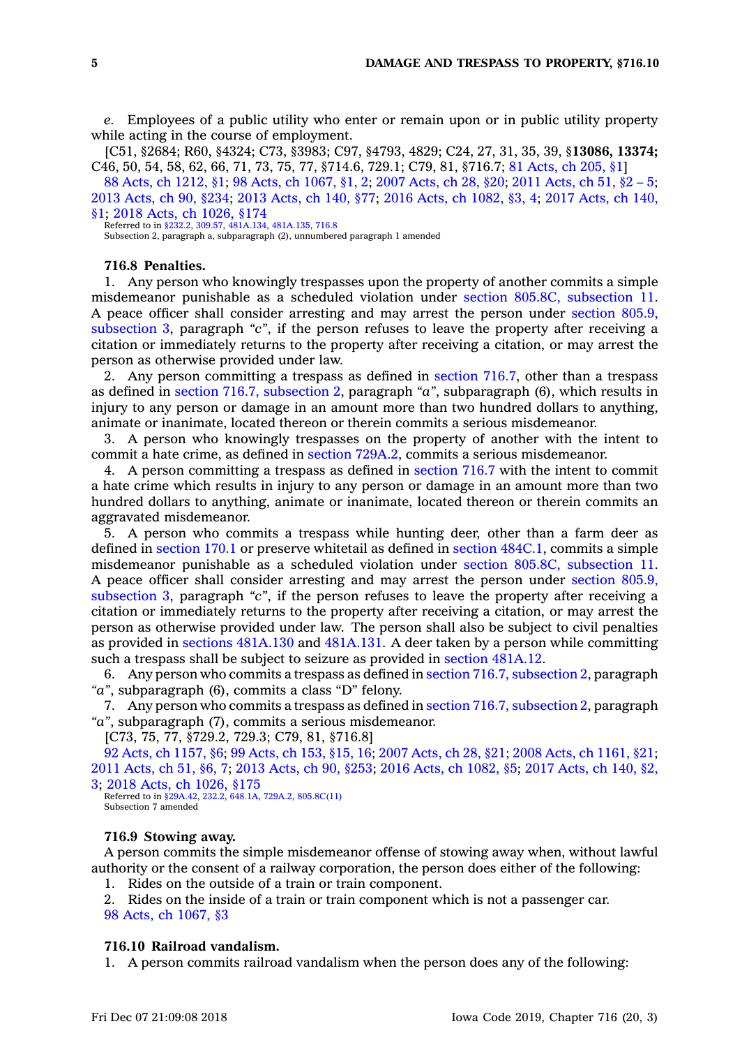*e.* Employees of <sup>a</sup> public utility who enter or remain upon or in public utility property while acting in the course of employment.

[C51, §2684; R60, §4324; C73, §3983; C97, §4793, 4829; C24, 27, 31, 35, 39, §**13086, 13374;** C46, 50, 54, 58, 62, 66, 71, 73, 75, 77, §714.6, 729.1; C79, 81, §716.7; 81 [Acts,](https://www.legis.iowa.gov/docs/acts/1981/CH0205.pdf) ch 205, §1]

88 Acts, ch [1212,](https://www.legis.iowa.gov/docs/acts/88/CH1212.pdf) §1; 98 Acts, ch [1067,](https://www.legis.iowa.gov/docs/acts/98/CH1067.pdf) §1, 2; 2007 [Acts,](https://www.legis.iowa.gov/docs/acts/2007/CH0028.pdf) ch 28, §20; 2011 [Acts,](https://www.legis.iowa.gov/docs/acts/2011/CH0051.pdf) ch 51, §2 – 5; 2013 [Acts,](https://www.legis.iowa.gov/docs/acts/2013/CH0090.pdf) ch 90, §234; 2013 [Acts,](https://www.legis.iowa.gov/docs/acts/2013/CH0140.pdf) ch 140, §77; 2016 Acts, ch [1082,](https://www.legis.iowa.gov/docs/acts/2016/CH1082.pdf) §3, 4; 2017 [Acts,](https://www.legis.iowa.gov/docs/acts/2017/CH0140.pdf) ch 140, [§1](https://www.legis.iowa.gov/docs/acts/2017/CH0140.pdf); 2018 Acts, ch [1026,](https://www.legis.iowa.gov/docs/acts/2018/CH1026.pdf) §174

Referred to in [§232.2](https://www.legis.iowa.gov/docs/code/232.2.pdf), [309.57](https://www.legis.iowa.gov/docs/code/309.57.pdf), [481A.134](https://www.legis.iowa.gov/docs/code/481A.134.pdf), [481A.135](https://www.legis.iowa.gov/docs/code/481A.135.pdf), [716.8](https://www.legis.iowa.gov/docs/code/716.8.pdf)

Subsection 2, paragraph a, subparagraph (2), unnumbered paragraph 1 amended

# **716.8 Penalties.**

1. Any person who knowingly trespasses upon the property of another commits <sup>a</sup> simple misdemeanor punishable as <sup>a</sup> scheduled violation under section 805.8C, [subsection](https://www.legis.iowa.gov/docs/code/805.8C.pdf) 11. A peace officer shall consider arresting and may arrest the person under [section](https://www.legis.iowa.gov/docs/code/805.9.pdf) 805.9, [subsection](https://www.legis.iowa.gov/docs/code/805.9.pdf) 3, paragraph *"c"*, if the person refuses to leave the property after receiving <sup>a</sup> citation or immediately returns to the property after receiving <sup>a</sup> citation, or may arrest the person as otherwise provided under law.

2. Any person committing <sup>a</sup> trespass as defined in [section](https://www.legis.iowa.gov/docs/code/716.7.pdf) 716.7, other than <sup>a</sup> trespass as defined in section 716.7, [subsection](https://www.legis.iowa.gov/docs/code/716.7.pdf) 2, paragraph *"a"*, subparagraph (6), which results in injury to any person or damage in an amount more than two hundred dollars to anything, animate or inanimate, located thereon or therein commits <sup>a</sup> serious misdemeanor.

3. A person who knowingly trespasses on the property of another with the intent to commit <sup>a</sup> hate crime, as defined in section [729A.2](https://www.legis.iowa.gov/docs/code/729A.2.pdf), commits <sup>a</sup> serious misdemeanor.

4. A person committing <sup>a</sup> trespass as defined in [section](https://www.legis.iowa.gov/docs/code/716.7.pdf) 716.7 with the intent to commit <sup>a</sup> hate crime which results in injury to any person or damage in an amount more than two hundred dollars to anything, animate or inanimate, located thereon or therein commits an aggravated misdemeanor.

5. A person who commits <sup>a</sup> trespass while hunting deer, other than <sup>a</sup> farm deer as defined in [section](https://www.legis.iowa.gov/docs/code/170.1.pdf) 170.1 or preserve whitetail as defined in section [484C.1](https://www.legis.iowa.gov/docs/code/484C.1.pdf), commits <sup>a</sup> simple misdemeanor punishable as <sup>a</sup> scheduled violation under section 805.8C, [subsection](https://www.legis.iowa.gov/docs/code/805.8C.pdf) 11. A peace officer shall consider arresting and may arrest the person under [section](https://www.legis.iowa.gov/docs/code/805.9.pdf) 805.9, [subsection](https://www.legis.iowa.gov/docs/code/805.9.pdf) 3, paragraph *"c"*, if the person refuses to leave the property after receiving <sup>a</sup> citation or immediately returns to the property after receiving <sup>a</sup> citation, or may arrest the person as otherwise provided under law. The person shall also be subject to civil penalties as provided in sections [481A.130](https://www.legis.iowa.gov/docs/code/481A.130.pdf) and [481A.131](https://www.legis.iowa.gov/docs/code/481A.131.pdf). A deer taken by <sup>a</sup> person while committing such <sup>a</sup> trespass shall be subject to seizure as provided in section [481A.12](https://www.legis.iowa.gov/docs/code/481A.12.pdf).

6. Any person who commits <sup>a</sup> trespass as defined in section 716.7, [subsection](https://www.legis.iowa.gov/docs/code/716.7.pdf) 2, paragraph *"a"*, subparagraph (6), commits <sup>a</sup> class "D" felony.

7. Any person who commits a trespass as defined in section 716.7, [subsection](https://www.legis.iowa.gov/docs/code/716.7.pdf) 2, paragraph *"a"*, subparagraph (7), commits <sup>a</sup> serious misdemeanor.

[C73, 75, 77, §729.2, 729.3; C79, 81, §716.8]

92 Acts, ch [1157,](https://www.legis.iowa.gov/docs/acts/92/CH1157.pdf) §6; 99 [Acts,](https://www.legis.iowa.gov/docs/acts/99/CH0153.pdf) ch 153, §15, 16; 2007 [Acts,](https://www.legis.iowa.gov/docs/acts/2007/CH0028.pdf) ch 28, §21; 2008 Acts, ch [1161,](https://www.legis.iowa.gov/docs/acts/2008/CH1161.pdf) §21; 2011 [Acts,](https://www.legis.iowa.gov/docs/acts/2011/CH0051.pdf) ch 51, §6, 7; 2013 [Acts,](https://www.legis.iowa.gov/docs/acts/2013/CH0090.pdf) ch 90, §253; 2016 Acts, ch [1082,](https://www.legis.iowa.gov/docs/acts/2016/CH1082.pdf) §5; 2017 [Acts,](https://www.legis.iowa.gov/docs/acts/2017/CH0140.pdf) ch 140, §2, [3](https://www.legis.iowa.gov/docs/acts/2017/CH0140.pdf); 2018 Acts, ch [1026,](https://www.legis.iowa.gov/docs/acts/2018/CH1026.pdf) §175

Referred to in [§29A.42,](https://www.legis.iowa.gov/docs/code/29A.42.pdf) [232.2](https://www.legis.iowa.gov/docs/code/232.2.pdf), [648.1A](https://www.legis.iowa.gov/docs/code/648.1A.pdf), [729A.2](https://www.legis.iowa.gov/docs/code/729A.2.pdf), [805.8C\(11\)](https://www.legis.iowa.gov/docs/code/805.8C.pdf) Subsection 7 amended

### **716.9 Stowing away.**

A person commits the simple misdemeanor offense of stowing away when, without lawful authority or the consent of <sup>a</sup> railway corporation, the person does either of the following:

1. Rides on the outside of <sup>a</sup> train or train component.

2. Rides on the inside of <sup>a</sup> train or train component which is not <sup>a</sup> passenger car. 98 Acts, ch [1067,](https://www.legis.iowa.gov/docs/acts/1998/CH1067.pdf) §3

# **716.10 Railroad vandalism.**

1. A person commits railroad vandalism when the person does any of the following: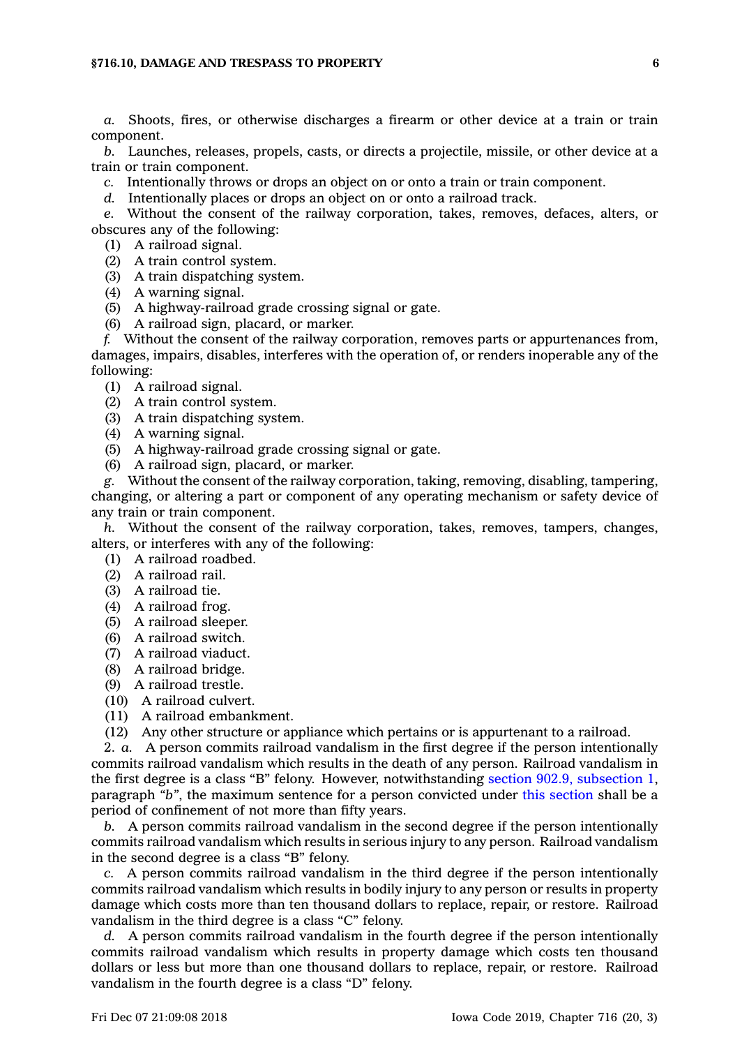*a.* Shoots, fires, or otherwise discharges <sup>a</sup> firearm or other device at <sup>a</sup> train or train component.

*b.* Launches, releases, propels, casts, or directs <sup>a</sup> projectile, missile, or other device at <sup>a</sup> train or train component.

*c.* Intentionally throws or drops an object on or onto <sup>a</sup> train or train component.

*d.* Intentionally places or drops an object on or onto <sup>a</sup> railroad track.

*e.* Without the consent of the railway corporation, takes, removes, defaces, alters, or obscures any of the following:

- (1) A railroad signal.
- (2) A train control system.
- (3) A train dispatching system.
- (4) A warning signal.
- (5) A highway-railroad grade crossing signal or gate.
- (6) A railroad sign, placard, or marker.

*f.* Without the consent of the railway corporation, removes parts or appurtenances from, damages, impairs, disables, interferes with the operation of, or renders inoperable any of the following:

- (1) A railroad signal.
- (2) A train control system.
- (3) A train dispatching system.
- (4) A warning signal.
- (5) A highway-railroad grade crossing signal or gate.
- (6) A railroad sign, placard, or marker.

*g.* Without the consent of the railway corporation, taking, removing, disabling, tampering, changing, or altering <sup>a</sup> part or component of any operating mechanism or safety device of any train or train component.

*h.* Without the consent of the railway corporation, takes, removes, tampers, changes, alters, or interferes with any of the following:

- (1) A railroad roadbed.
- (2) A railroad rail.
- (3) A railroad tie.
- (4) A railroad frog.
- (5) A railroad sleeper.
- (6) A railroad switch.
- (7) A railroad viaduct.
- (8) A railroad bridge.
- (9) A railroad trestle.
- (10) A railroad culvert.
- (11) A railroad embankment.
- (12) Any other structure or appliance which pertains or is appurtenant to <sup>a</sup> railroad.

2. *a.* A person commits railroad vandalism in the first degree if the person intentionally commits railroad vandalism which results in the death of any person. Railroad vandalism in the first degree is <sup>a</sup> class "B" felony. However, notwithstanding section 902.9, [subsection](https://www.legis.iowa.gov/docs/code/902.9.pdf) 1, paragraph *"b"*, the maximum sentence for <sup>a</sup> person convicted under this [section](https://www.legis.iowa.gov/docs/code/716.10.pdf) shall be <sup>a</sup> period of confinement of not more than fifty years.

*b.* A person commits railroad vandalism in the second degree if the person intentionally commits railroad vandalism which results in serious injury to any person. Railroad vandalism in the second degree is <sup>a</sup> class "B" felony.

*c.* A person commits railroad vandalism in the third degree if the person intentionally commits railroad vandalism which results in bodily injury to any person or results in property damage which costs more than ten thousand dollars to replace, repair, or restore. Railroad vandalism in the third degree is <sup>a</sup> class "C" felony.

*d.* A person commits railroad vandalism in the fourth degree if the person intentionally commits railroad vandalism which results in property damage which costs ten thousand dollars or less but more than one thousand dollars to replace, repair, or restore. Railroad vandalism in the fourth degree is <sup>a</sup> class "D" felony.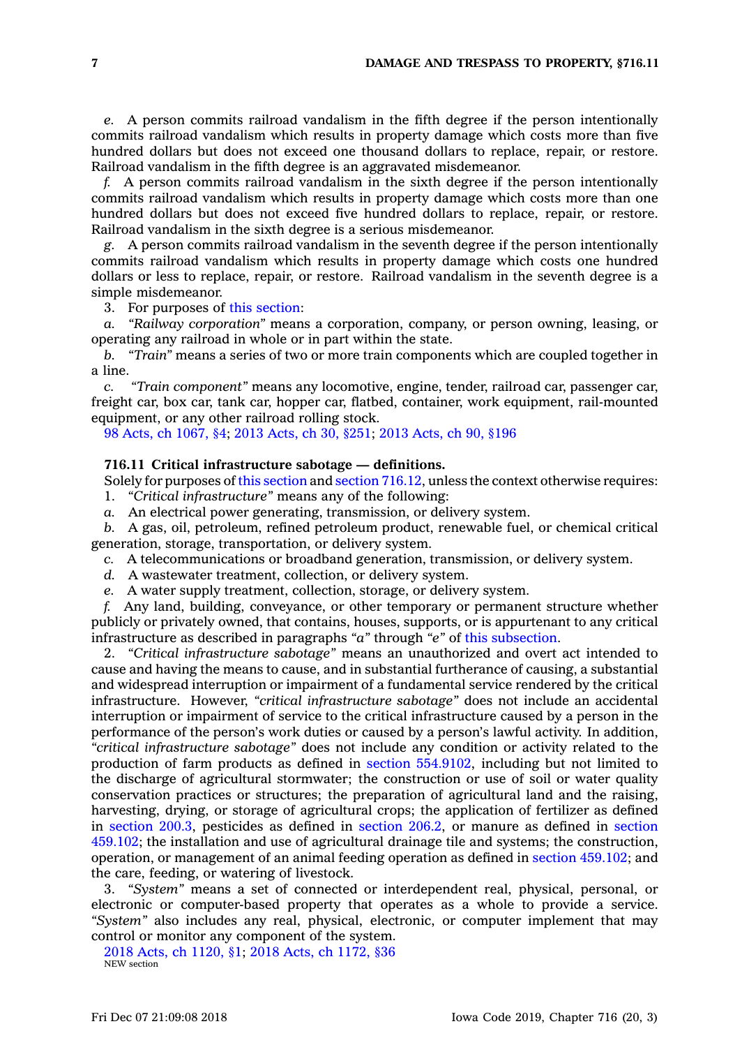*e.* A person commits railroad vandalism in the fifth degree if the person intentionally commits railroad vandalism which results in property damage which costs more than five hundred dollars but does not exceed one thousand dollars to replace, repair, or restore. Railroad vandalism in the fifth degree is an aggravated misdemeanor.

*f.* A person commits railroad vandalism in the sixth degree if the person intentionally commits railroad vandalism which results in property damage which costs more than one hundred dollars but does not exceed five hundred dollars to replace, repair, or restore. Railroad vandalism in the sixth degree is <sup>a</sup> serious misdemeanor.

*g.* A person commits railroad vandalism in the seventh degree if the person intentionally commits railroad vandalism which results in property damage which costs one hundred dollars or less to replace, repair, or restore. Railroad vandalism in the seventh degree is <sup>a</sup> simple misdemeanor.

3. For purposes of this [section](https://www.legis.iowa.gov/docs/code/716.10.pdf):

*a. "Railway corporation"* means <sup>a</sup> corporation, company, or person owning, leasing, or operating any railroad in whole or in part within the state.

*b. "Train"* means <sup>a</sup> series of two or more train components which are coupled together in <sup>a</sup> line.

*c. "Train component"* means any locomotive, engine, tender, railroad car, passenger car, freight car, box car, tank car, hopper car, flatbed, container, work equipment, rail-mounted equipment, or any other railroad rolling stock.

98 Acts, ch [1067,](https://www.legis.iowa.gov/docs/acts/98/CH1067.pdf) §4; 2013 [Acts,](https://www.legis.iowa.gov/docs/acts/2013/CH0030.pdf) ch 30, §251; 2013 [Acts,](https://www.legis.iowa.gov/docs/acts/2013/CH0090.pdf) ch 90, §196

## **716.11 Critical infrastructure sabotage — definitions.**

Solely for purposes of this [section](https://www.legis.iowa.gov/docs/code/716.11.pdf) and section [716.12](https://www.legis.iowa.gov/docs/code/716.12.pdf), unless the context otherwise requires: 1. *"Critical infrastructure"* means any of the following:

*a.* An electrical power generating, transmission, or delivery system.

*b.* A gas, oil, petroleum, refined petroleum product, renewable fuel, or chemical critical generation, storage, transportation, or delivery system.

*c.* A telecommunications or broadband generation, transmission, or delivery system.

*d.* A wastewater treatment, collection, or delivery system.

*e.* A water supply treatment, collection, storage, or delivery system.

*f.* Any land, building, conveyance, or other temporary or permanent structure whether publicly or privately owned, that contains, houses, supports, or is appurtenant to any critical infrastructure as described in paragraphs *"a"* through *"e"* of this [subsection](https://www.legis.iowa.gov/docs/code/716.11.pdf).

2. *"Critical infrastructure sabotage"* means an unauthorized and overt act intended to cause and having the means to cause, and in substantial furtherance of causing, <sup>a</sup> substantial and widespread interruption or impairment of <sup>a</sup> fundamental service rendered by the critical infrastructure. However, *"critical infrastructure sabotage"* does not include an accidental interruption or impairment of service to the critical infrastructure caused by <sup>a</sup> person in the performance of the person's work duties or caused by <sup>a</sup> person's lawful activity. In addition, *"critical infrastructure sabotage"* does not include any condition or activity related to the production of farm products as defined in section [554.9102](https://www.legis.iowa.gov/docs/code/554.9102.pdf), including but not limited to the discharge of agricultural stormwater; the construction or use of soil or water quality conservation practices or structures; the preparation of agricultural land and the raising, harvesting, drying, or storage of agricultural crops; the application of fertilizer as defined in [section](https://www.legis.iowa.gov/docs/code/200.3.pdf) 200.3, pesticides as defined in [section](https://www.legis.iowa.gov/docs/code/206.2.pdf) 206.2, or manure as defined in [section](https://www.legis.iowa.gov/docs/code/459.102.pdf) [459.102](https://www.legis.iowa.gov/docs/code/459.102.pdf); the installation and use of agricultural drainage tile and systems; the construction, operation, or management of an animal feeding operation as defined in section [459.102](https://www.legis.iowa.gov/docs/code/459.102.pdf); and the care, feeding, or watering of livestock.

3. *"System"* means <sup>a</sup> set of connected or interdependent real, physical, personal, or electronic or computer-based property that operates as <sup>a</sup> whole to provide <sup>a</sup> service. *"System"* also includes any real, physical, electronic, or computer implement that may control or monitor any component of the system.

2018 Acts, ch [1120,](https://www.legis.iowa.gov/docs/acts/2018/CH1120.pdf) §1; 2018 Acts, ch [1172,](https://www.legis.iowa.gov/docs/acts/2018/CH1172.pdf) §36 NEW section